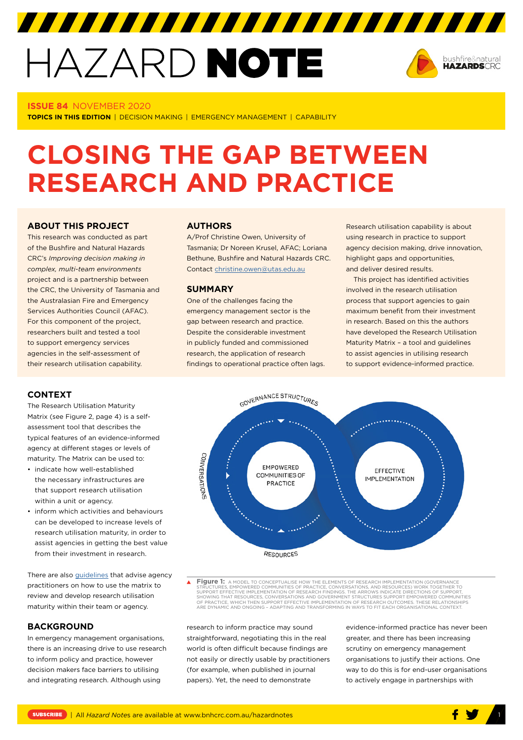# HAZARD NOTE



### **ISSUE 84** NOVEMBER 2020

**TOPICS IN THIS EDITION** | DECISION MAKING | EMERGENCY MANAGEMENT | CAPABILITY

# **CLOSING THE GAP BETWEEN RESEARCH AND PRACTICE**

# **ABOUT THIS PROJECT**

This research was conducted as part of the Bushfire and Natural Hazards CRC's *Improving decision making in complex, multi-team environments* project and is a partnership between the CRC, the University of Tasmania and the Australasian Fire and Emergency Services Authorities Council (AFAC). For this component of the project, researchers built and tested a tool to support emergency services agencies in the self-assessment of their research utilisation capability.

#### **CONTEXT**

The Research Utilisation Maturity Matrix (see Figure 2, page 4) is a selfassessment tool that describes the typical features of an evidence-informed agency at different stages or levels of maturity. The Matrix can be used to:

- indicate how well-established the necessary infrastructures are that support research utilisation within a unit or agency.
- inform which activities and behaviours can be developed to increase levels of research utilisation maturity, in order to assist agencies in getting the best value from their investment in research.

There are also [guidelines](https://www.afac.com.au/docs/default-source/ru/afac-rumm-guidelines.pdf) that advise agency practitioners on how to use the matrix to review and develop research utilisation maturity within their team or agency.

### **BACKGROUND**

In emergency management organisations, there is an increasing drive to use research to inform policy and practice, however decision makers face barriers to utilising and integrating research. Although using

## **AUTHORS**

A/Prof Christine Owen, University of Tasmania; Dr Noreen Krusel, AFAC; Loriana Bethune, Bushfire and Natural Hazards CRC. Contact [christine.owen@utas.edu.au](about:blank)

#### **SUMMARY**

One of the challenges facing the emergency management sector is the gap between research and practice. Despite the considerable investment in publicly funded and commissioned research, the application of research findings to operational practice often lags.

Research utilisation capability is about using research in practice to support agency decision making, drive innovation, highlight gaps and opportunities, and deliver desired results.

This project has identified activities involved in the research utilisation process that support agencies to gain maximum benefit from their investment in research. Based on this the authors have developed the Research Utilisation Maturity Matrix – a tool and guidelines to assist agencies in utilising research to support evidence-informed practice.



**Figure 1:** A MODEL TO CONCEPTUALISE HOW THE ELEMENTS OF RESEARCH IMPLEMENTATION (GOVERNANCE STRUCTURES, EMPOWERED COMMUNITIES OF PRACTICE, CONVERSATIONS, AND RESOURCES) WORK TOGETHER TO<br>SUPPORT EFFECTIVE IMPLEMENTATION OF RESEARCH FINDINGS. THE ARROWS INDICATE DIRECTIONS OF SUPPORT,<br>SHOWING THAT RESOURCES, CONVER

research to inform practice may sound straightforward, negotiating this in the real world is often difficult because findings are not easily or directly usable by practitioners (for example, when published in journal papers). Yet, the need to demonstrate

evidence-informed practice has never been greater, and there has been increasing scrutiny on emergency management organisations to justify their actions. One way to do this is for end-user organisations to actively engage in partnerships with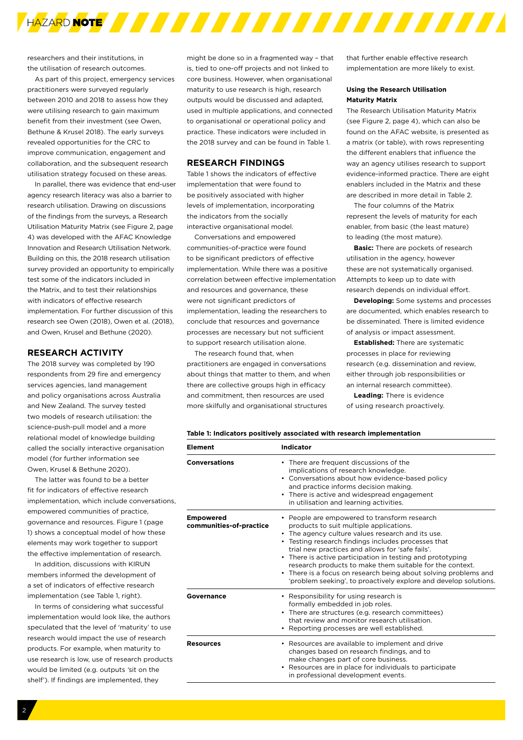

researchers and their institutions, in the utilisation of research outcomes.

As part of this project, emergency services practitioners were surveyed regularly between 2010 and 2018 to assess how they were utilising research to gain maximum benefit from their investment (see Owen, Bethune & Krusel 2018). The early surveys revealed opportunities for the CRC to improve communication, engagement and collaboration, and the subsequent research utilisation strategy focused on these areas.

In parallel, there was evidence that end-user agency research literacy was also a barrier to research utilisation. Drawing on discussions of the findings from the surveys, a Research Utilisation Maturity Matrix (see Figure 2, page 4) was developed with the AFAC Knowledge Innovation and Research Utilisation Network. Building on this, the 2018 research utilisation survey provided an opportunity to empirically test some of the indicators included in the Matrix, and to test their relationships with indicators of effective research implementation. For further discussion of this research see Owen (2018), Owen et al. (2018), and Owen, Krusel and Bethune (2020).

# **RESEARCH ACTIVITY**

The 2018 survey was completed by 190 respondents from 29 fire and emergency services agencies, land management and policy organisations across Australia and New Zealand. The survey tested two models of research utilisation: the science-push-pull model and a more relational model of knowledge building called the socially interactive organisation model (for further information see Owen, Krusel & Bethune 2020).

The latter was found to be a better fit for indicators of effective research implementation, which include conversations, empowered communities of practice, governance and resources. Figure 1 (page 1) shows a conceptual model of how these elements may work together to support the effective implementation of research.

In addition, discussions with KIRUN members informed the development of a set of indicators of effective research implementation (see Table 1, right).

In terms of considering what successful implementation would look like, the authors speculated that the level of 'maturity' to use research would impact the use of research products. For example, when maturity to use research is low, use of research products would be limited (e.g. outputs *'*sit on the shelf'). If findings are implemented, they

might be done so in a fragmented way – that is, tied to one-off projects and not linked to core business. However, when organisational maturity to use research is high, research outputs would be discussed and adapted, used in multiple applications, and connected to organisational or operational policy and practice. These indicators were included in the 2018 survey and can be found in Table 1.

#### **RESEARCH FINDINGS**

Table 1 shows the indicators of effective implementation that were found to be positively associated with higher levels of implementation, incorporating the indicators from the socially interactive organisational model.

Conversations and empowered communities-of-practice were found to be significant predictors of effective implementation. While there was a positive correlation between effective implementation and resources and governance, these were not significant predictors of implementation, leading the researchers to conclude that resources and governance processes are necessary but not sufficient to support research utilisation alone.

The research found that, when practitioners are engaged in conversations about things that matter to them, and when there are collective groups high in efficacy and commitment, then resources are used more skilfully and organisational structures

that further enable effective research implementation are more likely to exist.

#### **Using the Research Utilisation Maturity Matrix**

The Research Utilisation Maturity Matrix (see Figure 2, page 4), which can also be found on the AFAC website, is presented as a matrix (or table), with rows representing the different enablers that influence the way an agency utilises research to support evidence-informed practice. There are eight enablers included in the Matrix and these are described in more detail in Table 2.

The four columns of the Matrix represent the levels of maturity for each enabler, from basic (the least mature) to leading (the most mature).

**Basic:** There are pockets of research utilisation in the agency, however these are not systematically organised. Attempts to keep up to date with research depends on individual effort.

**Developing:** Some systems and processes are documented, which enables research to be disseminated. There is limited evidence of analysis or impact assessment.

**Established:** There are systematic processes in place for reviewing research (e.g. dissemination and review, either through job responsibilities or an internal research committee).

**Leading:** There is evidence of using research proactively.

| <b>Element</b>                              | <b>Indicator</b>                                                                                                                                                                                                                                                                                                                                                                                                                                                                                                               |  |  |
|---------------------------------------------|--------------------------------------------------------------------------------------------------------------------------------------------------------------------------------------------------------------------------------------------------------------------------------------------------------------------------------------------------------------------------------------------------------------------------------------------------------------------------------------------------------------------------------|--|--|
| <b>Conversations</b>                        | • There are frequent discussions of the<br>implications of research knowledge.<br>• Conversations about how evidence-based policy<br>and practice informs decision making.<br>• There is active and widespread engagement<br>in utilisation and learning activities.                                                                                                                                                                                                                                                           |  |  |
| <b>Empowered</b><br>communities-of-practice | • People are empowered to transform research<br>products to suit multiple applications.<br>• The agency culture values research and its use.<br>Testing research findings includes processes that<br>٠<br>trial new practices and allows for 'safe fails'.<br>• There is active participation in testing and prototyping<br>research products to make them suitable for the context.<br>There is a focus on research being about solving problems and<br>٠<br>'problem seeking', to proactively explore and develop solutions. |  |  |
| Governance                                  | • Responsibility for using research is<br>formally embedded in job roles.<br>• There are structures (e.g. research committees)<br>that review and monitor research utilisation.<br>• Reporting processes are well established.                                                                                                                                                                                                                                                                                                 |  |  |
| <b>Resources</b>                            | • Resources are available to implement and drive<br>changes based on research findings, and to<br>make changes part of core business.<br>Resources are in place for individuals to participate<br>٠<br>in professional development events.                                                                                                                                                                                                                                                                                     |  |  |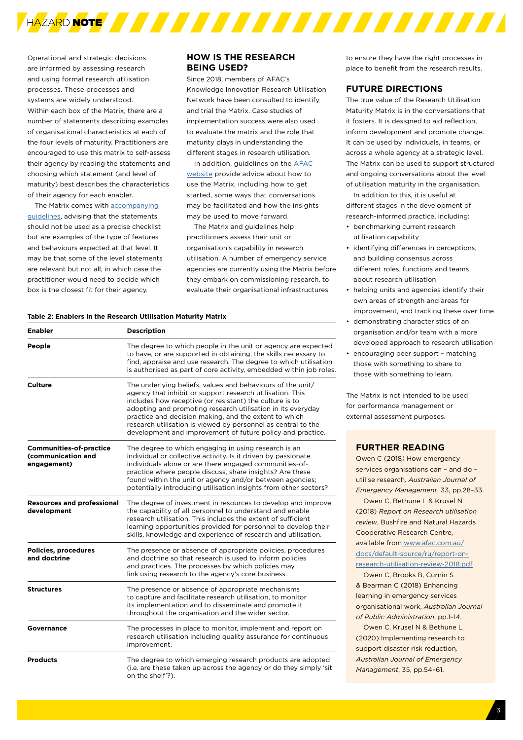

Operational and strategic decisions are informed by assessing research and using formal research utilisation processes. These processes and systems are widely understood. Within each box of the Matrix, there are a number of statements describing examples of organisational characteristics at each of the four levels of maturity. Practitioners are encouraged to use this matrix to self-assess their agency by reading the statements and choosing which statement (and level of maturity) best describes the characteristics of their agency for each enabler.

The Matrix comes with [accompanying](https://www.afac.com.au/docs/default-source/ru/afac-rumm-guidelines.pdf)  [guidelines,](https://www.afac.com.au/docs/default-source/ru/afac-rumm-guidelines.pdf) advising that the statements should not be used as a precise checklist but are examples of the type of features and behaviours expected at that level. It may be that some of the level statements are relevant but not all, in which case the practitioner would need to decide which box is the closest fit for their agency.

# **HOW IS THE RESEARCH BEING USED?**

Since 2018, members of AFAC's Knowledge Innovation Research Utilisation Network have been consulted to identify and trial the Matrix. Case studies of implementation success were also used to evaluate the matrix and the role that maturity plays in understanding the different stages in research utilisation.

In addition, guidelines on the **AFAC** [website](https://www.afac.com.au/docs/default-source/ru/afac-rumm-guidelines.pdf) provide advice about how to use the Matrix, including how to get started, some ways that conversations may be facilitated and how the insights may be used to move forward.

The Matrix and guidelines help practitioners assess their unit or organisation's capability in research utilisation. A number of emergency service agencies are currently using the Matrix before they embark on commissioning research, to evaluate their organisational infrastructures

#### **Table 2: Enablers in the Research Utilisation Maturity Matrix**

| <b>Enabler</b>                                                            | <b>Description</b>                                                                                                                                                                                                                                                                                                                                                                                                                        |  |  |
|---------------------------------------------------------------------------|-------------------------------------------------------------------------------------------------------------------------------------------------------------------------------------------------------------------------------------------------------------------------------------------------------------------------------------------------------------------------------------------------------------------------------------------|--|--|
| People                                                                    | The degree to which people in the unit or agency are expected<br>to have, or are supported in obtaining, the skills necessary to<br>find, appraise and use research. The degree to which utilisation<br>is authorised as part of core activity, embedded within job roles.                                                                                                                                                                |  |  |
| <b>Culture</b>                                                            | The underlying beliefs, values and behaviours of the unit/<br>agency that inhibit or support research utilisation. This<br>includes how receptive (or resistant) the culture is to<br>adopting and promoting research utilisation in its everyday<br>practice and decision making, and the extent to which<br>research utilisation is viewed by personnel as central to the<br>development and improvement of future policy and practice. |  |  |
| <b>Communities-of-practice</b><br><b>Communication and</b><br>engagement) | The degree to which engaging in using research is an<br>individual or collective activity. Is it driven by passionate<br>individuals alone or are there engaged communities-of-<br>practice where people discuss, share insights? Are these<br>found within the unit or agency and/or between agencies;<br>potentially introducing utilisation insights from other sectors?                                                               |  |  |
| <b>Resources and professional</b><br>development                          | The degree of investment in resources to develop and improve<br>the capability of all personnel to understand and enable<br>research utilisation. This includes the extent of sufficient<br>learning opportunities provided for personnel to develop their<br>skills, knowledge and experience of research and utilisation.                                                                                                               |  |  |
| <b>Policies, procedures</b><br>and doctrine                               | The presence or absence of appropriate policies, procedures<br>and doctrine so that research is used to inform policies<br>and practices. The processes by which policies may<br>link using research to the agency's core business.                                                                                                                                                                                                       |  |  |
| <b>Structures</b>                                                         | The presence or absence of appropriate mechanisms<br>to capture and facilitate research utilisation, to monitor<br>its implementation and to disseminate and promote it<br>throughout the organisation and the wider sector.                                                                                                                                                                                                              |  |  |
| Governance                                                                | The processes in place to monitor, implement and report on<br>research utilisation including quality assurance for continuous<br>improvement.                                                                                                                                                                                                                                                                                             |  |  |
| <b>Products</b>                                                           | The degree to which emerging research products are adopted<br>(i.e. are these taken up across the agency or do they simply 'sit<br>on the shelf'?).                                                                                                                                                                                                                                                                                       |  |  |

to ensure they have the right processes in place to benefit from the research results.

# **FUTURE DIRECTIONS**

The true value of the Research Utilisation Maturity Matrix is in the conversations that it fosters. It is designed to aid reflection, inform development and promote change. It can be used by individuals, in teams, or across a whole agency at a strategic level. The Matrix can be used to support structured and ongoing conversations about the level of utilisation maturity in the organisation.

In addition to this, it is useful at different stages in the development of research-informed practice, including:

- benchmarking current research utilisation capability
- identifying differences in perceptions, and building consensus across different roles, functions and teams about research utilisation
- helping units and agencies identify their own areas of strength and areas for improvement, and tracking these over time
- demonstrating characteristics of an organisation and/or team with a more developed approach to research utilisation • encouraging peer support – matching
- those with something to share to those with something to learn.

The Matrix is not intended to be used for performance management or external assessment purposes.

# **FURTHER READING**

Owen C (2018*)* How emergency services organisations can – and do – utilise research*, Australian Journal of Emergency Management*, 33, pp.28–33.

Owen C, Bethune L & Krusel N (2018) *Report on Research utilisation review*, Bushfire and Natural Hazards Cooperative Research Centre, available from www.afac.com.au/ docs/default-source/ru/report-onresearch-utilisation-review-2018.pdf

Owen C, Brooks B, Curnin S & Bearman C (2018) Enhancing learning in emergency services organisational work, *Australian Journal of Public Administration*, pp.1–14.

Owen C, Krusel N & Bethune L (2020) Implementing research to support disaster risk reduction*, Australian Journal of Emergency Management*, 35, pp.54–61.